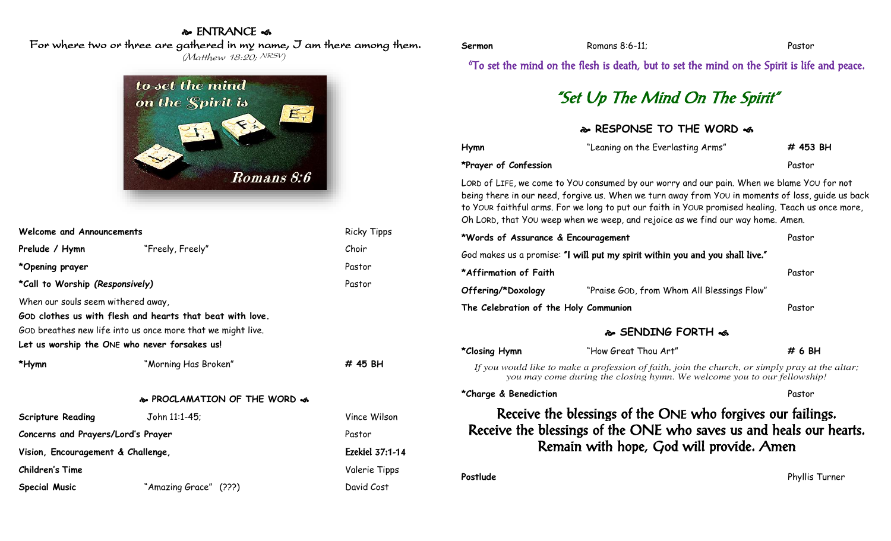### & ENTRANCE <

For where two or three are gathered in my name, I am there among them.

(Matthew 18:20; NRSV)

# to set the mind on the Spirit is  $E_{\tau}$  $\leq$ Romans 8:6

| <b>Welcome and Announcements</b>   |                                                                                                                                                                           | <b>Ricky Tipps</b> |
|------------------------------------|---------------------------------------------------------------------------------------------------------------------------------------------------------------------------|--------------------|
| Prelude / Hymn                     | "Freely, Freely"                                                                                                                                                          | Choir              |
| *Opening prayer                    |                                                                                                                                                                           | Pastor             |
| *Call to Worship (Responsively)    |                                                                                                                                                                           | Pastor             |
| When our souls seem withered away, | GOD clothes us with flesh and hearts that beat with love.<br>GOD breathes new life into us once more that we might live.<br>Let us worship the ONE who never forsakes us! |                    |
| *Hymn                              | "Morning Has Broken"                                                                                                                                                      | # 45 BH            |
|                                    | & PROCLAMATION OF THE WORD &                                                                                                                                              |                    |
| <b>Scripture Reading</b>           | John 11:1-45;                                                                                                                                                             | Vince Wilson       |
| Concerns and Prayers/Lord's Prayer | Pastor                                                                                                                                                                    |                    |
| Vision, Encouragement & Challenge, |                                                                                                                                                                           | Ezekiel 37:1-14    |
| Children's Time                    |                                                                                                                                                                           | Valerie Tipps      |
| Special Music                      | "Amazing Grace" (???)                                                                                                                                                     | David Cost         |

| Sermon | Romans 8:6-11; | Pastor |
|--------|----------------|--------|
|        |                |        |

<sup>6</sup>To set the mind on the flesh is death, but to set the mind on the Spirit is life and peace.

# "Set Up The Mind On The Spirit"

#### **& RESPONSE TO THE WORD &**

| Hymn                                                                                                                                                                                                                                                                                                                                                                                    | "Leaning on the Everlasting Arms"          | # 453 BH       |  |  |
|-----------------------------------------------------------------------------------------------------------------------------------------------------------------------------------------------------------------------------------------------------------------------------------------------------------------------------------------------------------------------------------------|--------------------------------------------|----------------|--|--|
| *Prayer of Confession                                                                                                                                                                                                                                                                                                                                                                   |                                            | Pastor         |  |  |
| LORD of LIFE, we come to YOU consumed by our worry and our pain. When we blame YOU for not<br>being there in our need, forgive us. When we turn away from YOU in moments of loss, guide us back<br>to YOUR faithful arms. For we long to put our faith in YOUR promised healing. Teach us once more,<br>Oh LORD, that YOU weep when we weep, and rejoice as we find our way home. Amen. |                                            |                |  |  |
| *Words of Assurance & Encouragement                                                                                                                                                                                                                                                                                                                                                     |                                            | Pastor         |  |  |
| God makes us a promise: "I will put my spirit within you and you shall live."                                                                                                                                                                                                                                                                                                           |                                            |                |  |  |
| *Affirmation of Faith                                                                                                                                                                                                                                                                                                                                                                   |                                            | Pastor         |  |  |
| Offering/*Doxology                                                                                                                                                                                                                                                                                                                                                                      | "Praise GOD, from Whom All Blessings Flow" |                |  |  |
| The Celebration of the Holy Communion                                                                                                                                                                                                                                                                                                                                                   |                                            | Pastor         |  |  |
| � SENDING FORTH �                                                                                                                                                                                                                                                                                                                                                                       |                                            |                |  |  |
| *Closing Hymn                                                                                                                                                                                                                                                                                                                                                                           | "How Great Thou Art"                       | # 6 BH         |  |  |
| If you would like to make a profession of faith, join the church, or simply pray at the altar;<br>you may come during the closing hymn. We welcome you to our fellowship!                                                                                                                                                                                                               |                                            |                |  |  |
| *Charge & Benediction                                                                                                                                                                                                                                                                                                                                                                   |                                            | Pastor         |  |  |
| Receive the blessings of the ONE who forgives our failings.<br>Receive the blessings of the ONE who saves us and heals our hearts.<br>Remain with hope, God will provide. Amen                                                                                                                                                                                                          |                                            |                |  |  |
| Postlude                                                                                                                                                                                                                                                                                                                                                                                |                                            | Phyllis Turner |  |  |